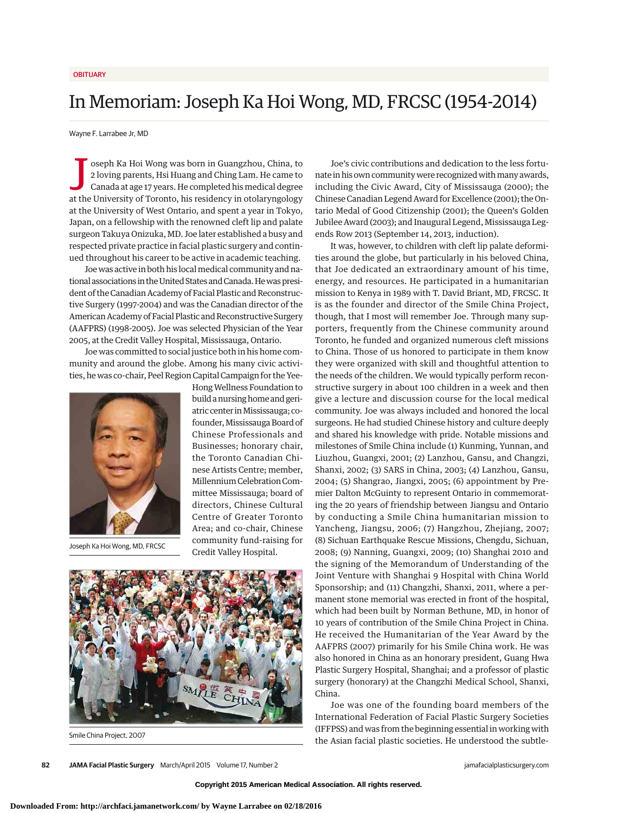## In Memoriam: Joseph Ka Hoi Wong, MD, FRCSC (1954-2014)

Wayne F. Larrabee Jr, MD

Soeph Ka Hoi Wong was born in Guangzhou, China, to 2 loving parents, Hsi Huang and Ching Lam. He came to Canada at age 17 years. He completed his medical degree at the University of Toronto, his residency in otolaryngology oseph Ka Hoi Wong was born in Guangzhou, China, to 2 loving parents, Hsi Huang and Ching Lam. He came to Canada at age 17 years. He completed his medical degree at the University of West Ontario, and spent a year in Tokyo, Japan, on a fellowship with the renowned cleft lip and palate surgeon Takuya Onizuka, MD. Joe later established a busy and respected private practice in facial plastic surgery and continued throughout his career to be active in academic teaching.

Joe was active in both his local medical community and national associations in the United States and Canada. He was president of the Canadian Academy of Facial Plastic and Reconstructive Surgery (1997-2004) and was the Canadian director of the American Academy of Facial Plastic and Reconstructive Surgery (AAFPRS) (1998-2005). Joe was selected Physician of the Year 2005, at the Credit Valley Hospital, Mississauga, Ontario.

Joe was committed to social justice both in his home community and around the globe. Among his many civic activities, he was co-chair, Peel Region Capital Campaign for the Yee-



Joseph Ka Hoi Wong, MD, FRCSC

HongWellness Foundation to build a nursing home and geriatric center inMississauga; cofounder, Mississauga Board of Chinese Professionals and Businesses; honorary chair, the Toronto Canadian Chinese Artists Centre; member, Millennium Celebration Committee Mississauga; board of directors, Chinese Cultural Centre of Greater Toronto Area; and co-chair, Chinese community fund-raising for Credit Valley Hospital.



Joe's civic contributions and dedication to the less fortunate in his own community were recognized with many awards, including the Civic Award, City of Mississauga (2000); the Chinese Canadian Legend Award for Excellence (2001); the Ontario Medal of Good Citizenship (2001); the Queen's Golden Jubilee Award (2003); and Inaugural Legend, Mississauga Legends Row 2013 (September 14, 2013, induction).

It was, however, to children with cleft lip palate deformities around the globe, but particularly in his beloved China, that Joe dedicated an extraordinary amount of his time, energy, and resources. He participated in a humanitarian mission to Kenya in 1989 with T. David Briant, MD, FRCSC. It is as the founder and director of the Smile China Project, though, that I most will remember Joe. Through many supporters, frequently from the Chinese community around Toronto, he funded and organized numerous cleft missions to China. Those of us honored to participate in them know they were organized with skill and thoughtful attention to the needs of the children. We would typically perform reconstructive surgery in about 100 children in a week and then give a lecture and discussion course for the local medical community. Joe was always included and honored the local surgeons. He had studied Chinese history and culture deeply and shared his knowledge with pride. Notable missions and milestones of Smile China include (1) Kunming, Yunnan, and Liuzhou, Guangxi, 2001; (2) Lanzhou, Gansu, and Changzi, Shanxi, 2002; (3) SARS in China, 2003; (4) Lanzhou, Gansu, 2004; (5) Shangrao, Jiangxi, 2005; (6) appointment by Premier Dalton McGuinty to represent Ontario in commemorating the 20 years of friendship between Jiangsu and Ontario by conducting a Smile China humanitarian mission to Yancheng, Jiangsu, 2006; (7) Hangzhou, Zhejiang, 2007; (8) Sichuan Earthquake Rescue Missions, Chengdu, Sichuan, 2008; (9) Nanning, Guangxi, 2009; (10) Shanghai 2010 and the signing of the Memorandum of Understanding of the Joint Venture with Shanghai 9 Hospital with China World Sponsorship; and (11) Changzhi, Shanxi, 2011, where a permanent stone memorial was erected in front of the hospital, which had been built by Norman Bethune, MD, in honor of 10 years of contribution of the Smile China Project in China. He received the Humanitarian of the Year Award by the AAFPRS (2007) primarily for his Smile China work. He was also honored in China as an honorary president, Guang Hwa Plastic Surgery Hospital, Shanghai; and a professor of plastic surgery (honorary) at the Changzhi Medical School, Shanxi, China.

Joe was one of the founding board members of the International Federation of Facial Plastic Surgery Societies (IFFPSS) and was from the beginning essential in working with the Asian facial plastic societies. He understood the subtle- Smile China Project, 2007